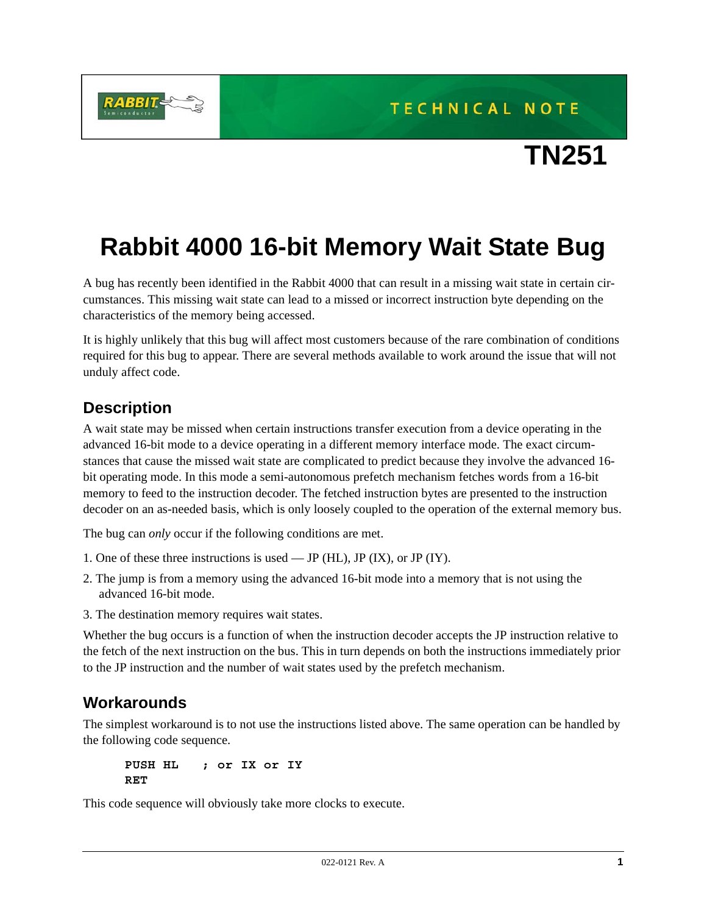TECHNICAL NOTE



## **Rabbit 4000 16-bit Memory Wait State Bug**

A bug has recently been identified in the Rabbit 4000 that can result in a missing wait state in certain circumstances. This missing wait state can lead to a missed or incorrect instruction byte depending on the characteristics of the memory being accessed.

It is highly unlikely that this bug will affect most customers because of the rare combination of conditions required for this bug to appear. There are several methods available to work around the issue that will not unduly affect code.

## **Description**

A wait state may be missed when certain instructions transfer execution from a device operating in the advanced 16-bit mode to a device operating in a different memory interface mode. The exact circumstances that cause the missed wait state are complicated to predict because they involve the advanced 16 bit operating mode. In this mode a semi-autonomous prefetch mechanism fetches words from a 16-bit memory to feed to the instruction decoder. The fetched instruction bytes are presented to the instruction decoder on an as-needed basis, which is only loosely coupled to the operation of the external memory bus.

The bug can *only* occur if the following conditions are met.

- 1. One of these three instructions is used JP (HL), JP (IX), or JP (IY).
- 2. The jump is from a memory using the advanced 16-bit mode into a memory that is not using the advanced 16-bit mode.
- 3. The destination memory requires wait states.

Whether the bug occurs is a function of when the instruction decoder accepts the JP instruction relative to the fetch of the next instruction on the bus. This in turn depends on both the instructions immediately prior to the JP instruction and the number of wait states used by the prefetch mechanism.

## **Workarounds**

The simplest workaround is to not use the instructions listed above. The same operation can be handled by the following code sequence.

**PUSH HL ; or IX or IY RET**

This code sequence will obviously take more clocks to execute.